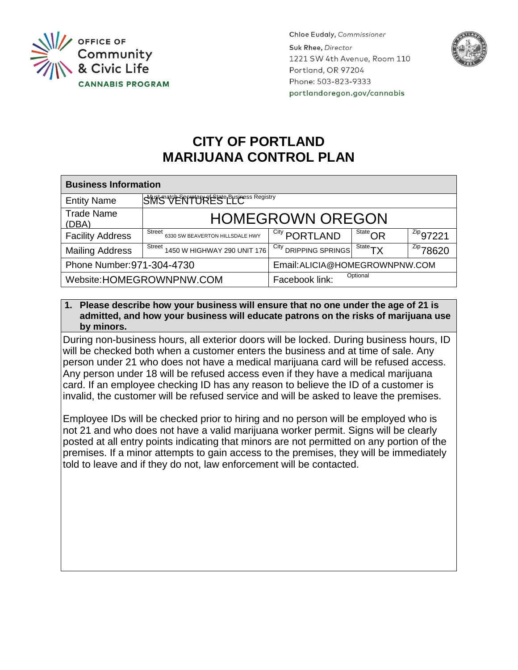

**Chloe Eudaly, Commissioner** Suk Rhee, Director 1221 SW 4th Avenue, Room 110 Portland, OR 97204 Phone: 503-823-9333 portlandoregon.gov/cannabis



## **CITY OF PORTLAND MARIJUANA CONTROL PLAN**

| <b>Business Information</b> |                                           |                                |                                         |                 |
|-----------------------------|-------------------------------------------|--------------------------------|-----------------------------------------|-----------------|
| <b>Entity Name</b>          | SWS VENTURES LEG.                         |                                |                                         |                 |
| <b>Trade Name</b><br>(DBA)  | <b>HOMEGROWN OREGON</b>                   |                                |                                         |                 |
| <b>Facility Address</b>     | Street<br>6330 SW BEAVERTON HILLSDALE HWY | <sup>City</sup> PORTLAND       | $\overline{\phantom{a}}^{\rm State}$ OR | $^{Zip}$ 97221  |
| <b>Mailing Address</b>      | Street 1450 W HIGHWAY 290 UNIT 176        | City DRIPPING SPRINGS          | $^{State}TX$                            | $2^{2ip}$ 78620 |
| Phone Number: 971-304-4730  |                                           | Email: ALICIA@HOMEGROWNPNW.COM |                                         |                 |
| Website: HOMEGROWNPNW.COM   |                                           | Optional<br>Facebook link:     |                                         |                 |

## **1. Please describe how your business will ensure that no one under the age of 21 is admitted, and how your business will educate patrons on the risks of marijuana use by minors.**

During non-business hours, all exterior doors will be locked. During business hours, ID will be checked both when a customer enters the business and at time of sale. Any person under 21 who does not have a medical marijuana card will be refused access. Any person under 18 will be refused access even if they have a medical marijuana card. If an employee checking ID has any reason to believe the ID of a customer is invalid, the customer will be refused service and will be asked to leave the premises.

Employee IDs will be checked prior to hiring and no person will be employed who is not 21 and who does not have a valid marijuana worker permit. Signs will be clearly posted at all entry points indicating that minors are not permitted on any portion of the premises. If a minor attempts to gain access to the premises, they will be immediately told to leave and if they do not, law enforcement will be contacted.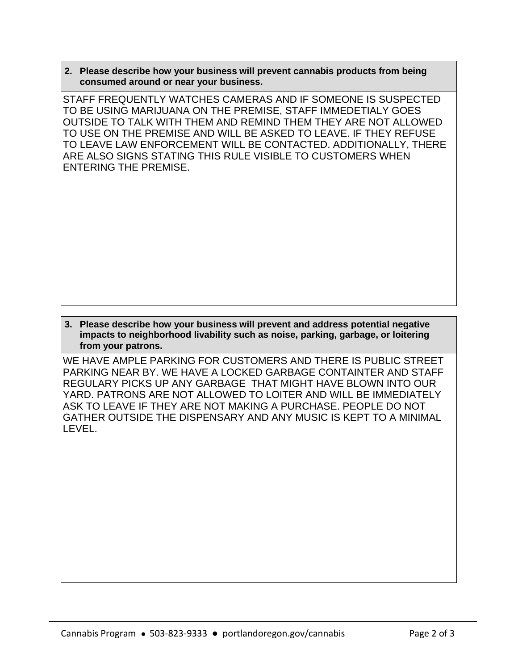**2. Please describe how your business will prevent cannabis products from being consumed around or near your business.**

STAFF FREQUENTLY WATCHES CAMERAS AND IF SOMEONE IS SUSPECTED TO BE USING MARIJUANA ON THE PREMISE, STAFF IMMEDETIALY GOES OUTSIDE TO TALK WITH THEM AND REMIND THEM THEY ARE NOT ALLOWED TO USE ON THE PREMISE AND WILL BE ASKED TO LEAVE. IF THEY REFUSE TO LEAVE LAW ENFORCEMENT WILL BE CONTACTED. ADDITIONALLY, THERE ARE ALSO SIGNS STATING THIS RULE VISIBLE TO CUSTOMERS WHEN ENTERING THE PREMISE.

## **3. Please describe how your business will prevent and address potential negative impacts to neighborhood livability such as noise, parking, garbage, or loitering from your patrons.**

WE HAVE AMPLE PARKING FOR CUSTOMERS AND THERE IS PUBLIC STREET PARKING NEAR BY. WE HAVE A LOCKED GARBAGE CONTAINTER AND STAFF REGULARY PICKS UP ANY GARBAGE THAT MIGHT HAVE BLOWN INTO OUR YARD. PATRONS ARE NOT ALLOWED TO LOITER AND WILL BE IMMEDIATELY ASK TO LEAVE IF THEY ARE NOT MAKING A PURCHASE. PEOPLE DO NOT GATHER OUTSIDE THE DISPENSARY AND ANY MUSIC IS KEPT TO A MINIMAL LEVEL.